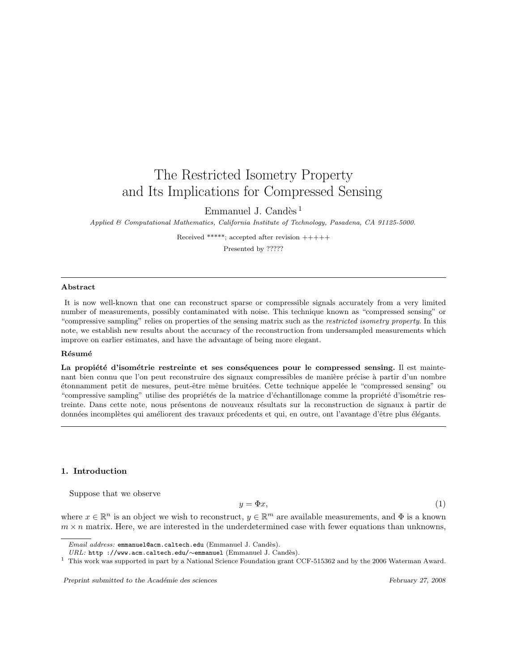# The Restricted Isometry Property and Its Implications for Compressed Sensing

Emmanuel J. Candès  $<sup>1</sup>$ </sup>

Applied & Computational Mathematics, California Institute of Technology, Pasadena, CA 91125-5000.

Received \*\*\*\*\*; accepted after revision +++++ Presented by ?????

#### Abstract

It is now well-known that one can reconstruct sparse or compressible signals accurately from a very limited number of measurements, possibly contaminated with noise. This technique known as "compressed sensing" or "compressive sampling" relies on properties of the sensing matrix such as the restricted isometry property. In this note, we establish new results about the accuracy of the reconstruction from undersampled measurements which improve on earlier estimates, and have the advantage of being more elegant.

#### Résumé

La propiété d'isométrie restreinte et ses conséquences pour le compressed sensing. Il est maintenant bien connu que l'on peut reconstruire des signaux compressibles de manière précise à partir d'un nombre étonnamment petit de mesures, peut-être même bruitées. Cette technique appelée le "compressed sensing" ou "compressive sampling" utilise des propriétés de la matrice d'échantillonage comme la propriété d'isométrie restreinte. Dans cette note, nous présentons de nouveaux résultats sur la reconstruction de signaux à partir de données incomplètes qui améliorent des travaux précedents et qui, en outre, ont l'avantage d'être plus élégants.

#### 1. Introduction

Suppose that we observe

$$
y = \Phi x,\tag{1}
$$

where  $x \in \mathbb{R}^n$  is an object we wish to reconstruct,  $y \in \mathbb{R}^m$  are available measurements, and  $\Phi$  is a known  $m \times n$  matrix. Here, we are interested in the underdetermined case with fewer equations than unknowns,

Preprint submitted to the Académie des sciences February 27, 2008

Email address: emmanuel@acm.caltech.edu (Emmanuel J. Candès).

URL: http ://www.acm.caltech.edu/∼emmanuel (Emmanuel J. Candès).

<sup>&</sup>lt;sup>1</sup> This work was supported in part by a National Science Foundation grant CCF-515362 and by the 2006 Waterman Award.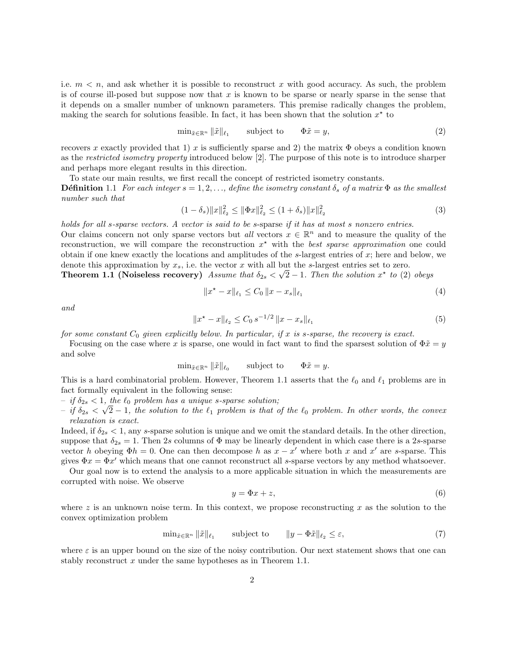i.e.  $m < n$ , and ask whether it is possible to reconstruct x with good accuracy. As such, the problem is of course ill-posed but suppose now that x is known to be sparse or nearly sparse in the sense that it depends on a smaller number of unknown parameters. This premise radically changes the problem, making the search for solutions feasible. In fact, it has been shown that the solution  $x^*$  to

$$
\min_{\tilde{x}\in\mathbb{R}^n} \|\tilde{x}\|_{\ell_1} \qquad \text{subject to} \qquad \Phi\tilde{x} = y,\tag{2}
$$

recovers x exactly provided that 1) x is sufficiently sparse and 2) the matrix  $\Phi$  obeys a condition known as the restricted isometry property introduced below [2]. The purpose of this note is to introduce sharper and perhaps more elegant results in this direction.

To state our main results, we first recall the concept of restricted isometry constants.

**D**éfinition 1.1 For each integer  $s = 1, 2, \ldots$ , define the isometry constant  $\delta_s$  of a matrix  $\Phi$  as the smallest number such that

$$
(1 - \delta_s) \|x\|_{\ell_2}^2 \le \|\Phi x\|_{\ell_2}^2 \le (1 + \delta_s) \|x\|_{\ell_2}^2 \tag{3}
$$

holds for all s-sparse vectors. A vector is said to be s-sparse if it has at most s nonzero entries. Our claims concern not only sparse vectors but all vectors  $x \in \mathbb{R}^n$  and to measure the quality of the reconstruction, we will compare the reconstruction  $x^*$  with the best sparse approximation one could obtain if one knew exactly the locations and amplitudes of the s-largest entries of x; here and below, we denote this approximation by  $x_s$ , i.e. the vector x with all but the s-largest entries set to zero. **Theorem 1.1 (Noiseless recovery)** Assume that  $\delta_{2s} < \sqrt{2} - 1$ . Then the solution  $x^*$  to (2) obeys

$$
||x^* - x||_{\ell_1} \le C_0 ||x - x_s||_{\ell_1}
$$
\n(4)

and

$$
||x^* - x||_{\ell_2} \le C_0 s^{-1/2} ||x - x_s||_{\ell_1}
$$
\n(5)

for some constant  $C_0$  given explicitly below. In particular, if x is s-sparse, the recovery is exact.

Focusing on the case where x is sparse, one would in fact want to find the sparsest solution of  $\Phi \tilde{x} = y$ and solve

 $\min_{\tilde{x} \in \mathbb{R}^n} \|\tilde{x}\|_{\ell_0}$  subject to  $\Phi \tilde{x} = y$ .

This is a hard combinatorial problem. However, Theorem 1.1 asserts that the  $\ell_0$  and  $\ell_1$  problems are in fact formally equivalent in the following sense:

 $-$  if  $\delta_{2s} < 1$ , the  $\ell_0$  problem has a unique s-sparse solution;

 $-$  if  $\delta_{2s} < \sqrt{2-1}$ , the solution to the  $\ell_1$  problem is that of the  $\ell_0$  problem. In other words, the convex relaxation is exact.

Indeed, if  $\delta_{2s} < 1$ , any s-sparse solution is unique and we omit the standard details. In the other direction, suppose that  $\delta_{2s} = 1$ . Then 2s columns of  $\Phi$  may be linearly dependent in which case there is a 2s-sparse vector h obeying  $\Phi h = 0$ . One can then decompose h as  $x - x'$  where both x and x' are s-sparse. This gives  $\Phi x = \Phi x'$  which means that one cannot reconstruct all s-sparse vectors by any method whatsoever.

Our goal now is to extend the analysis to a more applicable situation in which the measurements are corrupted with noise. We observe

$$
y = \Phi x + z,\tag{6}
$$

where z is an unknown noise term. In this context, we propose reconstructing x as the solution to the convex optimization problem

$$
\min_{\tilde{x} \in \mathbb{R}^n} \|\tilde{x}\|_{\ell_1} \qquad \text{subject to} \qquad \|y - \Phi \tilde{x}\|_{\ell_2} \le \varepsilon,\tag{7}
$$

where  $\varepsilon$  is an upper bound on the size of the noisy contribution. Our next statement shows that one can stably reconstruct x under the same hypotheses as in Theorem 1.1.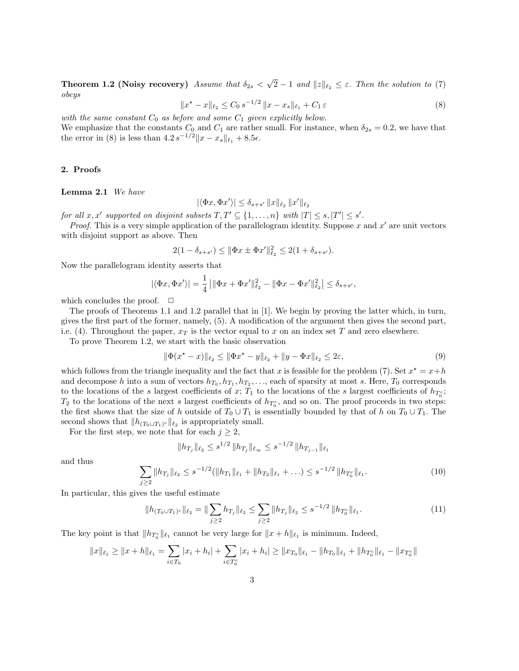Theorem 1.2 (Noisy recovery) Assume that  $\delta_{2s}$  < √  $2 - 1$  and  $||z||_{\ell_2} \leq \varepsilon$ . Then the solution to (7) obeys

$$
||x^* - x||_{\ell_2} \le C_0 s^{-1/2} ||x - x_s||_{\ell_1} + C_1 \varepsilon
$$
\n(8)

with the same constant  $C_0$  as before and some  $C_1$  given explicitly below.

We emphasize that the constants  $C_0$  and  $C_1$  are rather small. For instance, when  $\delta_{2s} = 0.2$ , we have that the error in (8) is less than  $4.2 s^{-1/2} ||x - x_s||_{\ell_1} + 8.5\epsilon$ .

## 2. Proofs

#### Lemma 2.1 We have

$$
|\langle \Phi x, \Phi x' \rangle| \le \delta_{s+s'} \|x\|_{\ell_2} \|x'\|_{\ell_2}
$$

for all  $x, x'$  supported on disjoint subsets  $T, T' \subseteq \{1, \ldots, n\}$  with  $|T| \leq s, |T'| \leq s'.$ 

*Proof.* This is a very simple application of the parallelogram identity. Suppose  $x$  and  $x'$  are unit vectors with disjoint support as above. Then

$$
2(1 - \delta_{s+s'}) \le ||\Phi x \pm \Phi x'||_{\ell_2}^2 \le 2(1 + \delta_{s+s'}).
$$

Now the parallelogram identity asserts that

$$
|\langle \Phi x, \Phi x' \rangle| = \frac{1}{4} \left| \|\Phi x + \Phi x'\|_{\ell_2}^2 - \|\Phi x - \Phi x'\|_{\ell_2}^2 \right| \le \delta_{s+s'},
$$

which concludes the proof.  $\Box$ 

The proofs of Theorems 1.1 and 1.2 parallel that in [1]. We begin by proving the latter which, in turn, gives the first part of the former, namely, (5). A modification of the argument then gives the second part, i.e. (4). Throughout the paper,  $x_T$  is the vector equal to x on an index set T and zero elsewhere.

To prove Theorem 1.2, we start with the basic observation

$$
\|\Phi(x^* - x)\|_{\ell_2} \le \|\Phi x^* - y\|_{\ell_2} + \|y - \Phi x\|_{\ell_2} \le 2\varepsilon,
$$
\n(9)

which follows from the triangle inequality and the fact that x is feasible for the problem (7). Set  $x^* = x + h$ and decompose h into a sum of vectors  $h_{T_0}, h_{T_1}, h_{T_2}, \ldots$ , each of sparsity at most s. Here,  $T_0$  corresponds to the locations of the s largest coefficients of x;  $T_1$  to the locations of the s largest coefficients of  $h_{T_0^c}$ ;  $T_2$  to the locations of the next s largest coefficients of  $h_{T_0^c}$ , and so on. The proof proceeds in two steps: the first shows that the size of h outside of  $T_0 \cup T_1$  is essentially bounded by that of h on  $T_0 \cup T_1$ . The second shows that  $||h_{(T_0\cup T_1)^c}||_{\ell_2}$  is appropriately small.

For the first step, we note that for each  $j \geq 2$ ,

$$
||h_{T_j}||_{\ell_2} \leq s^{1/2} ||h_{T_j}||_{\ell_\infty} \leq s^{-1/2} ||h_{T_{j-1}}||_{\ell_1}
$$

and thus

$$
\sum_{j\geq 2} \|h_{T_j}\|_{\ell_2} \leq s^{-1/2} (\|h_{T_1}\|_{\ell_1} + \|h_{T_2}\|_{\ell_1} + \ldots) \leq s^{-1/2} \|h_{T_0^c}\|_{\ell_1}.
$$
\n(10)

In particular, this gives the useful estimate

$$
||h_{(T_0 \cup T_1)^c}||_{\ell_2} = ||\sum_{j\geq 2} h_{T_j}||_{\ell_2} \leq \sum_{j\geq 2} ||h_{T_j}||_{\ell_2} \leq s^{-1/2} ||h_{T_0^c}||_{\ell_1}.
$$
\n(11)

The key point is that  $||h_{T_0}||_{\ell_1}$  cannot be very large for  $||x + h||_{\ell_1}$  is minimum. Indeed,

$$
||x||_{\ell_1} \ge ||x+h||_{\ell_1} = \sum_{i \in T_0} |x_i + h_i| + \sum_{i \in T_0^c} |x_i + h_i| \ge ||x_{T_0}||_{\ell_1} - ||h_{T_0}||_{\ell_1} + ||h_{T_0^c}||_{\ell_1} - ||x_{T_0^c}||_{\ell_1}
$$